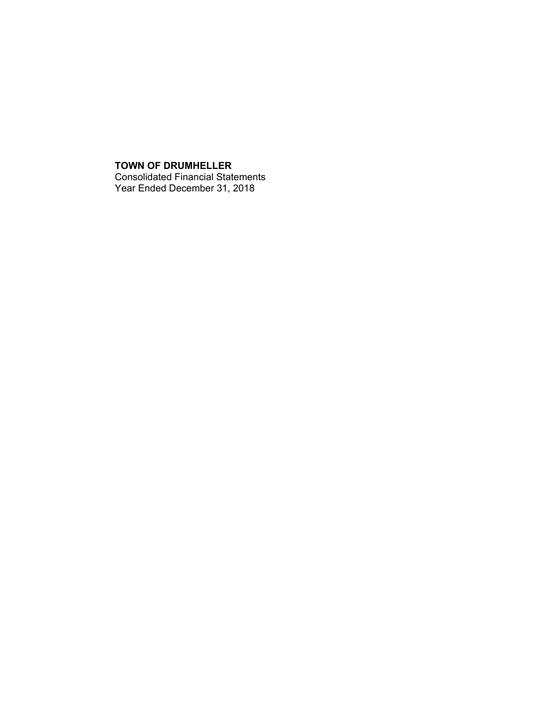## **TOWN OF DRUMHELLER** Consolidated Financial Statements Year Ended December 31, 2018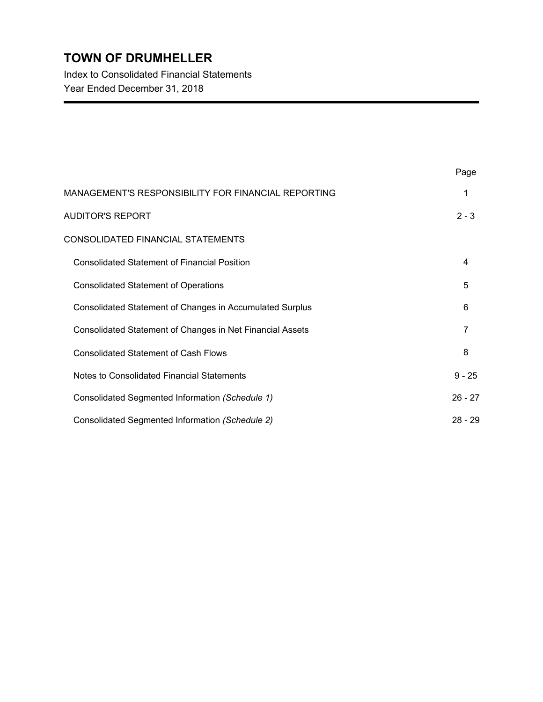Index to Consolidated Financial Statements Year Ended December 31, 2018

|                                                           | Page      |
|-----------------------------------------------------------|-----------|
| MANAGEMENT'S RESPONSIBILITY FOR FINANCIAL REPORTING       | 1         |
| <b>AUDITOR'S REPORT</b>                                   | $2 - 3$   |
| CONSOLIDATED FINANCIAL STATEMENTS                         |           |
| <b>Consolidated Statement of Financial Position</b>       | 4         |
| <b>Consolidated Statement of Operations</b>               | 5         |
| Consolidated Statement of Changes in Accumulated Surplus  | 6         |
| Consolidated Statement of Changes in Net Financial Assets | 7         |
| <b>Consolidated Statement of Cash Flows</b>               | 8         |
| Notes to Consolidated Financial Statements                | $9 - 25$  |
| Consolidated Segmented Information (Schedule 1)           | $26 - 27$ |
| Consolidated Segmented Information (Schedule 2)           | $28 - 29$ |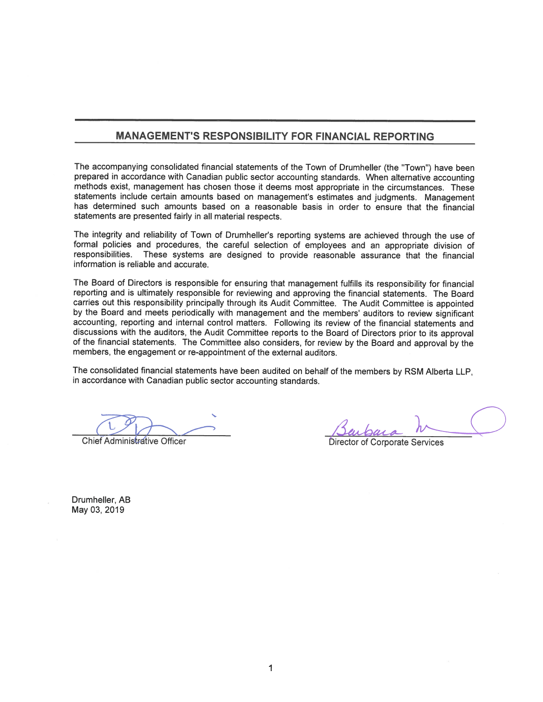## **MANAGEMENT'S RESPONSIBILITY FOR FINANCIAL REPORTING**

The accompanying consolidated financial statements of the Town of Drumheller (the "Town") have been prepared in accordance with Canadian public sector accounting standards. When alternative accounting methods exist, management has chosen those it deems most appropriate in the circumstances. These statements include certain amounts based on management's estimates and judgments. Management has determined such amounts based on a reasonable basis in order to ensure that the financial statements are presented fairly in all material respects.

The integrity and reliability of Town of Drumheller's reporting systems are achieved through the use of formal policies and procedures, the careful selection of employees and an appropriate division of responsibilities. These systems are designed to provide reasonable assurance that the financial information is reliable and accurate.

The Board of Directors is responsible for ensuring that management fulfills its responsibility for financial reporting and is ultimately responsible for reviewing and approving the financial statements. The Board carries out this responsibility principally through its Audit Committee. The Audit Committee is appointed by the Board and meets periodically with management and the members' auditors to review significant accounting, reporting and internal control matters. Following its review of the financial statements and discussions with the auditors, the Audit Committee reports to the Board of Directors prior to its approval of the financial statements. The Committee also considers, for review by the Board and approval by the members, the engagement or re-appointment of the external auditors.

The consolidated financial statements have been audited on behalf of the members by RSM Alberta LLP, in accordance with Canadian public sector accounting standards.

**Chief Administrative Officer** 

**Corporate Services** 

Drumheller, AB May 03, 2019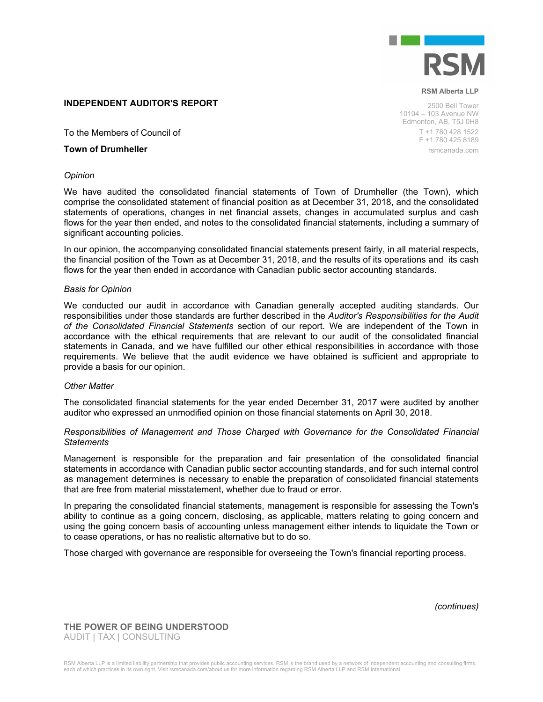

#### **INDEPENDENT AUDITOR'S REPORT**

To the Members of Council of

### **Town of Drumheller**

#### *Opinion*

We have audited the consolidated financial statements of Town of Drumheller (the Town), which comprise the consolidated statement of financial position as at December 31, 2018, and the consolidated statements of operations, changes in net financial assets, changes in accumulated surplus and cash flows for the year then ended, and notes to the consolidated financial statements, including a summary of significant accounting policies.

In our opinion, the accompanying consolidated financial statements present fairly, in all material respects, the financial position of the Town as at December 31, 2018, and the results of its operations and its cash flows for the year then ended in accordance with Canadian public sector accounting standards.

#### *Basis for Opinion*

We conducted our audit in accordance with Canadian generally accepted auditing standards. Our responsibilities under those standards are further described in the *Auditor's Responsibilities for the Audit of the Consolidated Financial Statements* section of our report. We are independent of the Town in accordance with the ethical requirements that are relevant to our audit of the consolidated financial statements in Canada, and we have fulfilled our other ethical responsibilities in accordance with those requirements. We believe that the audit evidence we have obtained is sufficient and appropriate to provide a basis for our opinion.

#### *Other Matter*

The consolidated financial statements for the year ended December 31, 2017 were audited by another auditor who expressed an unmodified opinion on those financial statements on April 30, 2018.

#### *Responsibilities of Management and Those Charged with Governance for the Consolidated Financial Statements*

Management is responsible for the preparation and fair presentation of the consolidated financial statements in accordance with Canadian public sector accounting standards, and for such internal control as management determines is necessary to enable the preparation of consolidated financial statements that are free from material misstatement, whether due to fraud or error.

In preparing the consolidated financial statements, management is responsible for assessing the Town's ability to continue as a going concern, disclosing, as applicable, matters relating to going concern and using the going concern basis of accounting unless management either intends to liquidate the Town or to cease operations, or has no realistic alternative but to do so.

Those charged with governance are responsible for overseeing the Town's financial reporting process.

*(continues)*

**THE POWER OF BEING UNDERSTOOD** AUDIT | TAX | CONSULTING

2500 Bell Tower 10104 – 103 Avenue NW Edmonton, AB, T5J 0H8 T +1 780 428 1522 F +1 780 425 8189 rsmcanada.com

**RSM Alberta LLP**

RSM Alberta LLP is a limited liability partnership that provides public accounting services. RSM is the brand used by a network of independent accounting and consulting firms, each of which practices in its own right. Visit rsmcanada.com/about us for more information regarding RSM Alberta LLP and RSM International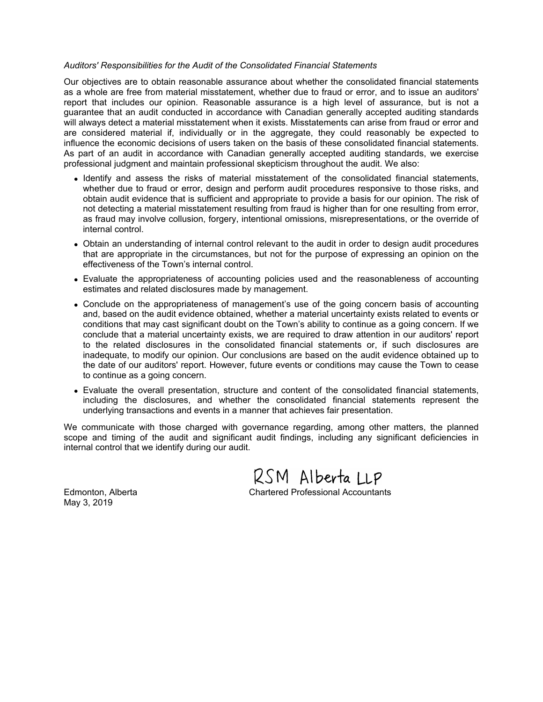### *Auditors' Responsibilities for the Audit of the Consolidated Financial Statements*

Our objectives are to obtain reasonable assurance about whether the consolidated financial statements as a whole are free from material misstatement, whether due to fraud or error, and to issue an auditors' report that includes our opinion. Reasonable assurance is a high level of assurance, but is not a guarantee that an audit conducted in accordance with Canadian generally accepted auditing standards will always detect a material misstatement when it exists. Misstatements can arise from fraud or error and are considered material if, individually or in the aggregate, they could reasonably be expected to influence the economic decisions of users taken on the basis of these consolidated financial statements. As part of an audit in accordance with Canadian generally accepted auditing standards, we exercise professional judgment and maintain professional skepticism throughout the audit. We also:

- Identify and assess the risks of material misstatement of the consolidated financial statements, whether due to fraud or error, design and perform audit procedures responsive to those risks, and obtain audit evidence that is sufficient and appropriate to provide a basis for our opinion. The risk of not detecting a material misstatement resulting from fraud is higher than for one resulting from error, as fraud may involve collusion, forgery, intentional omissions, misrepresentations, or the override of internal control.
- Obtain an understanding of internal control relevant to the audit in order to design audit procedures that are appropriate in the circumstances, but not for the purpose of expressing an opinion on the effectiveness of the Town's internal control.
- Evaluate the appropriateness of accounting policies used and the reasonableness of accounting estimates and related disclosures made by management.
- Conclude on the appropriateness of management's use of the going concern basis of accounting and, based on the audit evidence obtained, whether a material uncertainty exists related to events or conditions that may cast significant doubt on the Town's ability to continue as a going concern. If we conclude that a material uncertainty exists, we are required to draw attention in our auditors' report to the related disclosures in the consolidated financial statements or, if such disclosures are inadequate, to modify our opinion. Our conclusions are based on the audit evidence obtained up to the date of our auditors' report. However, future events or conditions may cause the Town to cease to continue as a going concern.
- Evaluate the overall presentation, structure and content of the consolidated financial statements, including the disclosures, and whether the consolidated financial statements represent the underlying transactions and events in a manner that achieves fair presentation.

We communicate with those charged with governance regarding, among other matters, the planned scope and timing of the audit and significant audit findings, including any significant deficiencies in internal control that we identify during our audit.

RSM Alberta LLP Edmonton, Alberta Chartered Professional Accountants

May 3, 2019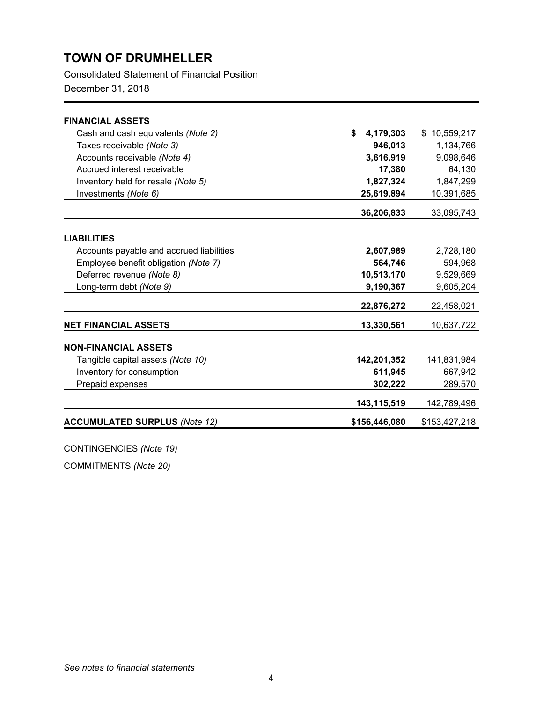Consolidated Statement of Financial Position

December 31, 2018

| <b>FINANCIAL ASSETS</b>                  |                 |               |
|------------------------------------------|-----------------|---------------|
| Cash and cash equivalents (Note 2)       | \$<br>4,179,303 | \$10,559,217  |
| Taxes receivable (Note 3)                | 946,013         | 1,134,766     |
| Accounts receivable (Note 4)             | 3,616,919       | 9,098,646     |
| Accrued interest receivable              | 17,380          | 64,130        |
| Inventory held for resale (Note 5)       | 1,827,324       | 1,847,299     |
| Investments (Note 6)                     | 25,619,894      | 10,391,685    |
|                                          | 36,206,833      | 33,095,743    |
|                                          |                 |               |
| <b>LIABILITIES</b>                       |                 |               |
| Accounts payable and accrued liabilities | 2,607,989       | 2,728,180     |
| Employee benefit obligation (Note 7)     | 564,746         | 594,968       |
| Deferred revenue (Note 8)                | 10,513,170      | 9,529,669     |
| Long-term debt (Note 9)                  | 9,190,367       | 9,605,204     |
|                                          | 22,876,272      | 22,458,021    |
| <b>NET FINANCIAL ASSETS</b>              | 13,330,561      | 10,637,722    |
| <b>NON-FINANCIAL ASSETS</b>              |                 |               |
| Tangible capital assets (Note 10)        | 142,201,352     | 141,831,984   |
| Inventory for consumption                | 611,945         | 667,942       |
| Prepaid expenses                         | 302,222         | 289,570       |
|                                          | 143,115,519     | 142,789,496   |
| <b>ACCUMULATED SURPLUS (Note 12)</b>     | \$156,446,080   | \$153,427,218 |
|                                          |                 |               |

CONTINGENCIES *(Note 19)*

COMMITMENTS *(Note 20)*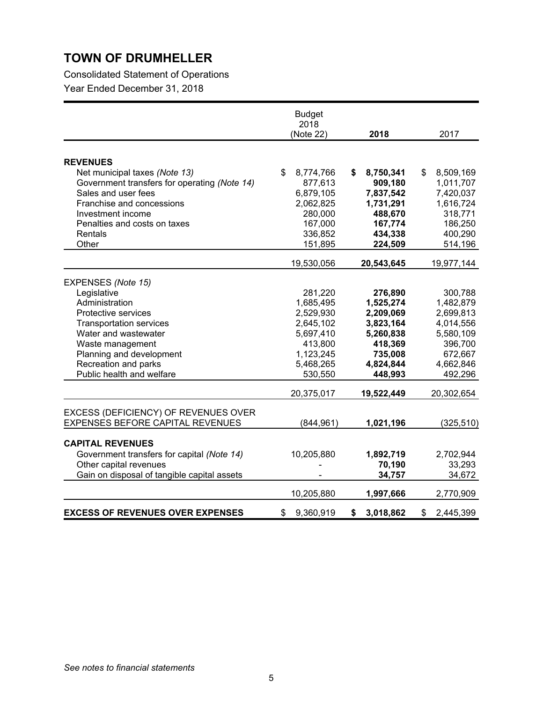Consolidated Statement of Operations

|                                              | <b>Budget</b><br>2018<br>(Note 22) | 2018            | 2017            |
|----------------------------------------------|------------------------------------|-----------------|-----------------|
|                                              |                                    |                 |                 |
| <b>REVENUES</b>                              |                                    |                 |                 |
| Net municipal taxes (Note 13)                | 8,774,766<br>\$                    | 8,750,341<br>S  | 8,509,169<br>S  |
| Government transfers for operating (Note 14) | 877,613                            | 909,180         | 1,011,707       |
| Sales and user fees                          | 6,879,105                          | 7,837,542       | 7,420,037       |
| Franchise and concessions                    | 2,062,825                          | 1,731,291       | 1,616,724       |
| Investment income                            | 280,000                            | 488,670         | 318,771         |
| Penalties and costs on taxes                 | 167,000                            | 167,774         | 186,250         |
| Rentals                                      | 336,852                            | 434,338         | 400,290         |
| Other                                        | 151,895                            | 224,509         | 514,196         |
|                                              | 19,530,056                         | 20,543,645      | 19,977,144      |
|                                              |                                    |                 |                 |
| EXPENSES (Note 15)                           |                                    |                 |                 |
| Legislative                                  | 281,220                            | 276,890         | 300,788         |
| Administration                               | 1,685,495                          | 1,525,274       | 1,482,879       |
| Protective services                          | 2,529,930                          | 2,209,069       | 2,699,813       |
| <b>Transportation services</b>               | 2,645,102                          | 3,823,164       | 4,014,556       |
| Water and wastewater                         | 5,697,410                          | 5,260,838       | 5,580,109       |
| Waste management                             | 413,800                            | 418,369         | 396,700         |
| Planning and development                     | 1,123,245                          | 735,008         | 672,667         |
| Recreation and parks                         | 5,468,265                          | 4,824,844       | 4,662,846       |
| Public health and welfare                    | 530,550                            | 448,993         | 492,296         |
|                                              | 20,375,017                         | 19,522,449      | 20,302,654      |
| EXCESS (DEFICIENCY) OF REVENUES OVER         |                                    |                 |                 |
| EXPENSES BEFORE CAPITAL REVENUES             | (844, 961)                         | 1,021,196       | (325, 510)      |
|                                              |                                    |                 |                 |
| <b>CAPITAL REVENUES</b>                      |                                    |                 |                 |
| Government transfers for capital (Note 14)   | 10,205,880                         | 1,892,719       | 2,702,944       |
| Other capital revenues                       |                                    | 70,190          | 33,293          |
| Gain on disposal of tangible capital assets  |                                    | 34,757          | 34,672          |
|                                              | 10,205,880                         | 1,997,666       | 2,770,909       |
| <b>EXCESS OF REVENUES OVER EXPENSES</b>      | 9,360,919<br>\$                    | 3,018,862<br>\$ | \$<br>2,445,399 |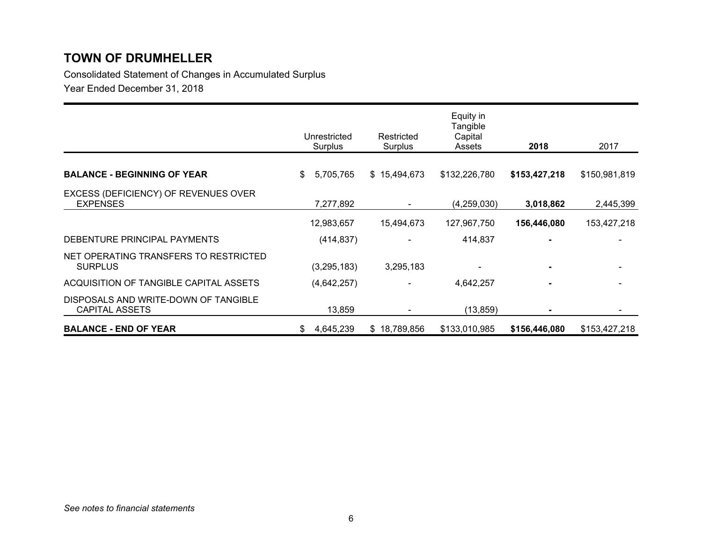Consolidated Statement of Changes in Accumulated Surplus

|                                                               | Unrestricted<br>Surplus | Restricted<br>Surplus | Equity in<br>Tangible<br>Capital<br>Assets | 2018          | 2017          |
|---------------------------------------------------------------|-------------------------|-----------------------|--------------------------------------------|---------------|---------------|
|                                                               |                         |                       |                                            |               |               |
| <b>BALANCE - BEGINNING OF YEAR</b>                            | 5,705,765<br>\$         | \$15,494,673          | \$132,226,780                              | \$153,427,218 | \$150,981,819 |
| EXCESS (DEFICIENCY) OF REVENUES OVER<br><b>EXPENSES</b>       | 7,277,892               |                       | (4,259,030)                                | 3,018,862     | 2,445,399     |
|                                                               | 12,983,657              | 15,494,673            | 127,967,750                                | 156,446,080   | 153,427,218   |
| DEBENTURE PRINCIPAL PAYMENTS                                  | (414, 837)              |                       | 414,837                                    |               |               |
| NET OPERATING TRANSFERS TO RESTRICTED<br><b>SURPLUS</b>       | (3,295,183)             | 3,295,183             |                                            | ۰.            |               |
| ACQUISITION OF TANGIBLE CAPITAL ASSETS                        | (4,642,257)             |                       | 4,642,257                                  |               |               |
| DISPOSALS AND WRITE-DOWN OF TANGIBLE<br><b>CAPITAL ASSETS</b> | 13,859                  |                       | (13, 859)                                  | ۰             |               |
| <b>BALANCE - END OF YEAR</b>                                  | 4,645,239<br>\$         | \$18,789,856          | \$133,010,985                              | \$156,446,080 | \$153,427,218 |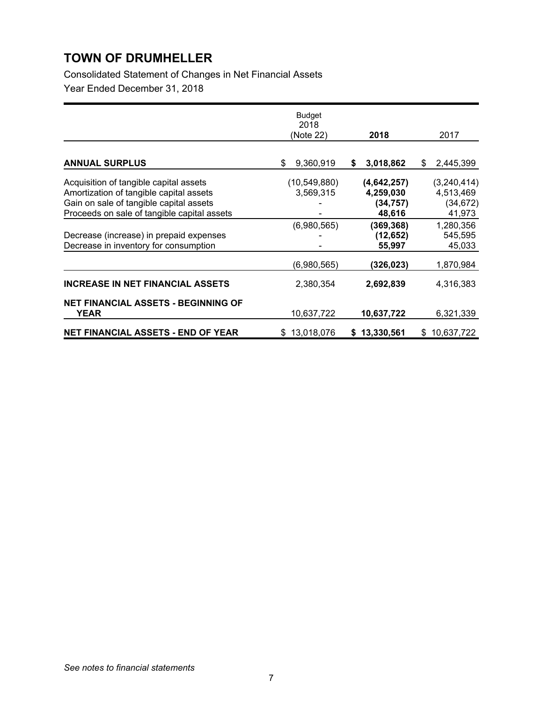Consolidated Statement of Changes in Net Financial Assets

|                                                                                                                                                                             | <b>Budget</b><br>2018<br>(Note 22) | 2018                                            | 2017                                              |
|-----------------------------------------------------------------------------------------------------------------------------------------------------------------------------|------------------------------------|-------------------------------------------------|---------------------------------------------------|
|                                                                                                                                                                             |                                    |                                                 |                                                   |
| <b>ANNUAL SURPLUS</b>                                                                                                                                                       | 9,360,919<br>\$                    | 3,018,862<br>\$                                 | 2,445,399<br>\$                                   |
| Acquisition of tangible capital assets<br>Amortization of tangible capital assets<br>Gain on sale of tangible capital assets<br>Proceeds on sale of tangible capital assets | (10, 549, 880)<br>3,569,315        | (4,642,257)<br>4,259,030<br>(34, 757)<br>48,616 | (3, 240, 414)<br>4,513,469<br>(34, 672)<br>41,973 |
| Decrease (increase) in prepaid expenses<br>Decrease in inventory for consumption                                                                                            | (6,980,565)                        | (369, 368)<br>(12, 652)<br>55,997               | 1,280,356<br>545,595<br>45,033                    |
|                                                                                                                                                                             | (6,980,565)                        | (326,023)                                       | 1,870,984                                         |
| <b>INCREASE IN NET FINANCIAL ASSETS</b>                                                                                                                                     | 2,380,354                          | 2,692,839                                       | 4,316,383                                         |
| <b>NET FINANCIAL ASSETS - BEGINNING OF</b><br>YEAR                                                                                                                          | 10,637,722                         | 10,637,722                                      | 6,321,339                                         |
| <b>NET FINANCIAL ASSETS - END OF YEAR</b>                                                                                                                                   | 13,018,076<br>\$                   | 13,330,561<br>S.                                | 10,637,722<br>\$                                  |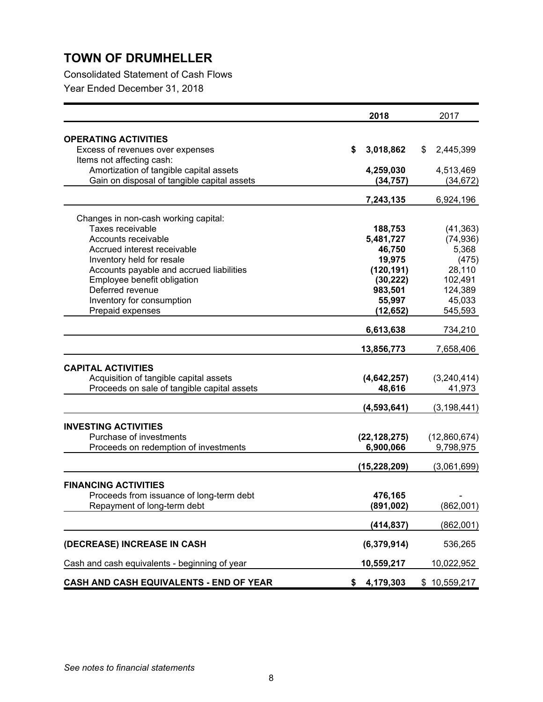Consolidated Statement of Cash Flows

|                                                                                       | 2018            | 2017                  |
|---------------------------------------------------------------------------------------|-----------------|-----------------------|
| <b>OPERATING ACTIVITIES</b>                                                           |                 |                       |
| Excess of revenues over expenses                                                      | \$<br>3,018,862 | \$<br>2,445,399       |
| Items not affecting cash:                                                             |                 |                       |
| Amortization of tangible capital assets                                               | 4,259,030       | 4,513,469             |
| Gain on disposal of tangible capital assets                                           | (34, 757)       | (34, 672)             |
|                                                                                       |                 |                       |
|                                                                                       | 7,243,135       | 6,924,196             |
| Changes in non-cash working capital:                                                  |                 |                       |
| Taxes receivable                                                                      | 188,753         | (41, 363)             |
| Accounts receivable                                                                   | 5,481,727       | (74, 936)             |
| Accrued interest receivable                                                           | 46,750          | 5,368                 |
| Inventory held for resale                                                             | 19,975          | (475)                 |
| Accounts payable and accrued liabilities                                              | (120, 191)      | 28,110                |
| Employee benefit obligation                                                           | (30, 222)       | 102,491               |
| Deferred revenue                                                                      | 983,501         | 124,389               |
| Inventory for consumption                                                             | 55,997          | 45,033                |
| Prepaid expenses                                                                      | (12, 652)       | 545,593               |
|                                                                                       | 6,613,638       | 734,210               |
|                                                                                       | 13,856,773      | 7,658,406             |
|                                                                                       |                 |                       |
| <b>CAPITAL ACTIVITIES</b>                                                             | (4,642,257)     |                       |
| Acquisition of tangible capital assets<br>Proceeds on sale of tangible capital assets | 48,616          | (3,240,414)<br>41,973 |
|                                                                                       |                 |                       |
|                                                                                       | (4, 593, 641)   | (3, 198, 441)         |
| <b>INVESTING ACTIVITIES</b>                                                           |                 |                       |
| Purchase of investments                                                               | (22, 128, 275)  | (12,860,674)          |
| Proceeds on redemption of investments                                                 | 6,900,066       | 9,798,975             |
|                                                                                       | (15, 228, 209)  | (3,061,699)           |
|                                                                                       |                 |                       |
| <b>FINANCING ACTIVITIES</b>                                                           |                 |                       |
| Proceeds from issuance of long-term debt                                              | 476,165         |                       |
| Repayment of long-term debt                                                           | (891, 002)      | (862,001)             |
|                                                                                       | (414, 837)      | (862,001)             |
|                                                                                       |                 |                       |
| (DECREASE) INCREASE IN CASH                                                           | (6,379,914)     | 536,265               |
| Cash and cash equivalents - beginning of year                                         | 10,559,217      | 10,022,952            |
| CASH AND CASH EQUIVALENTS - END OF YEAR                                               | \$<br>4,179,303 | \$10,559,217          |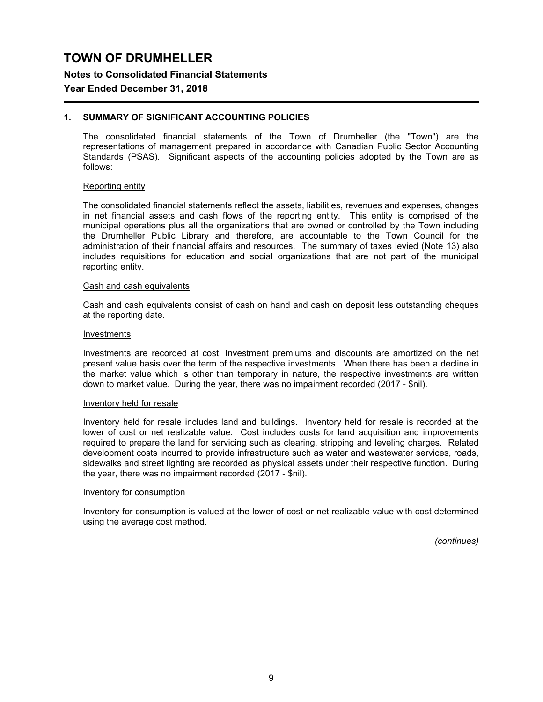**Notes to Consolidated Financial Statements**

### **Year Ended December 31, 2018**

### **1. SUMMARY OF SIGNIFICANT ACCOUNTING POLICIES**

The consolidated financial statements of the Town of Drumheller (the "Town") are the representations of management prepared in accordance with Canadian Public Sector Accounting Standards (PSAS). Significant aspects of the accounting policies adopted by the Town are as follows:

#### Reporting entity

The consolidated financial statements reflect the assets, liabilities, revenues and expenses, changes in net financial assets and cash flows of the reporting entity. This entity is comprised of the municipal operations plus all the organizations that are owned or controlled by the Town including the Drumheller Public Library and therefore, are accountable to the Town Council for the administration of their financial affairs and resources. The summary of taxes levied (Note 13) also includes requisitions for education and social organizations that are not part of the municipal reporting entity.

#### Cash and cash equivalents

Cash and cash equivalents consist of cash on hand and cash on deposit less outstanding cheques at the reporting date.

#### Investments

Investments are recorded at cost. Investment premiums and discounts are amortized on the net present value basis over the term of the respective investments. When there has been a decline in the market value which is other than temporary in nature, the respective investments are written down to market value. During the year, there was no impairment recorded (2017 - \$nil).

#### Inventory held for resale

Inventory held for resale includes land and buildings. Inventory held for resale is recorded at the lower of cost or net realizable value. Cost includes costs for land acquisition and improvements required to prepare the land for servicing such as clearing, stripping and leveling charges. Related development costs incurred to provide infrastructure such as water and wastewater services, roads, sidewalks and street lighting are recorded as physical assets under their respective function. During the year, there was no impairment recorded (2017 - \$nil).

#### Inventory for consumption

Inventory for consumption is valued at the lower of cost or net realizable value with cost determined using the average cost method.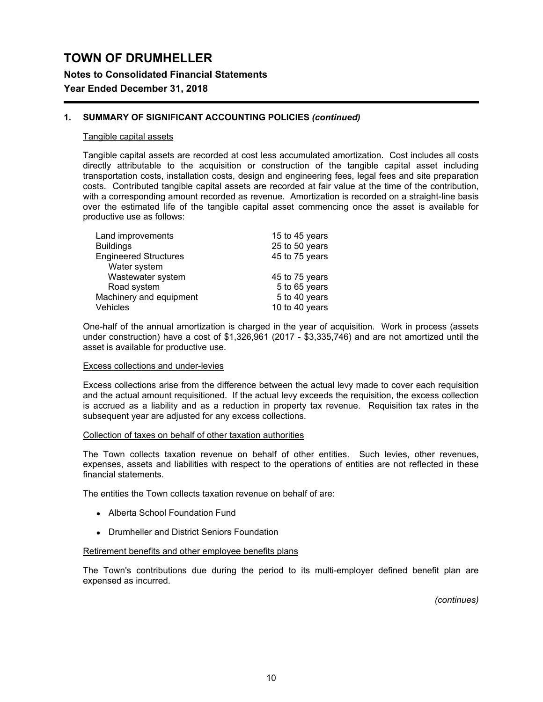**Notes to Consolidated Financial Statements**

## **Year Ended December 31, 2018**

### **1. SUMMARY OF SIGNIFICANT ACCOUNTING POLICIES** *(continued)*

#### Tangible capital assets

Tangible capital assets are recorded at cost less accumulated amortization. Cost includes all costs directly attributable to the acquisition or construction of the tangible capital asset including transportation costs, installation costs, design and engineering fees, legal fees and site preparation costs. Contributed tangible capital assets are recorded at fair value at the time of the contribution, with a corresponding amount recorded as revenue. Amortization is recorded on a straight-line basis over the estimated life of the tangible capital asset commencing once the asset is available for productive use as follows:

| Land improvements            | 15 to 45 years |
|------------------------------|----------------|
| <b>Buildings</b>             | 25 to 50 years |
| <b>Engineered Structures</b> | 45 to 75 years |
| Water system                 |                |
| Wastewater system            | 45 to 75 years |
| Road system                  | 5 to 65 years  |
| Machinery and equipment      | 5 to 40 years  |
| Vehicles                     | 10 to 40 years |

One-half of the annual amortization is charged in the year of acquisition. Work in process (assets under construction) have a cost of \$1,326,961 (2017 - \$3,335,746) and are not amortized until the asset is available for productive use.

#### Excess collections and under-levies

Excess collections arise from the difference between the actual levy made to cover each requisition and the actual amount requisitioned. If the actual levy exceeds the requisition, the excess collection is accrued as a liability and as a reduction in property tax revenue. Requisition tax rates in the subsequent year are adjusted for any excess collections.

#### Collection of taxes on behalf of other taxation authorities

The Town collects taxation revenue on behalf of other entities. Such levies, other revenues, expenses, assets and liabilities with respect to the operations of entities are not reflected in these financial statements.

The entities the Town collects taxation revenue on behalf of are:

- Alberta School Foundation Fund
- Drumheller and District Seniors Foundation

#### Retirement benefits and other employee benefits plans

The Town's contributions due during the period to its multi-employer defined benefit plan are expensed as incurred.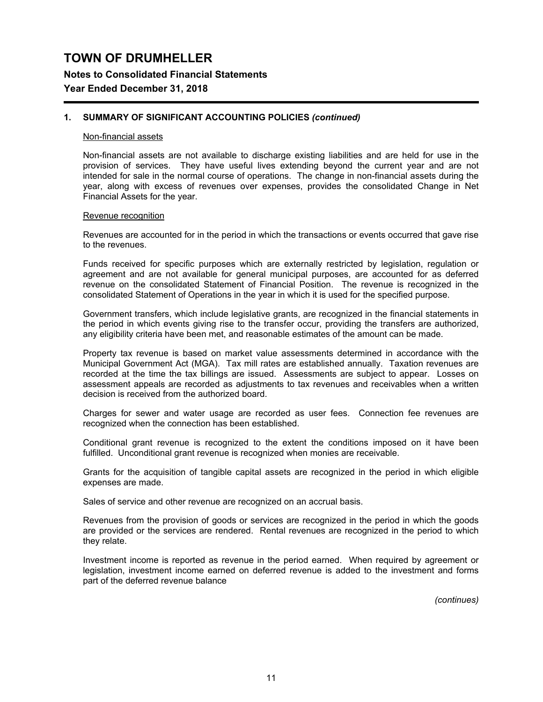**Notes to Consolidated Financial Statements**

## **Year Ended December 31, 2018**

### **1. SUMMARY OF SIGNIFICANT ACCOUNTING POLICIES** *(continued)*

#### Non-financial assets

Non-financial assets are not available to discharge existing liabilities and are held for use in the provision of services. They have useful lives extending beyond the current year and are not intended for sale in the normal course of operations. The change in non-financial assets during the year, along with excess of revenues over expenses, provides the consolidated Change in Net Financial Assets for the year.

#### Revenue recognition

Revenues are accounted for in the period in which the transactions or events occurred that gave rise to the revenues.

Funds received for specific purposes which are externally restricted by legislation, regulation or agreement and are not available for general municipal purposes, are accounted for as deferred revenue on the consolidated Statement of Financial Position. The revenue is recognized in the consolidated Statement of Operations in the year in which it is used for the specified purpose.

Government transfers, which include legislative grants, are recognized in the financial statements in the period in which events giving rise to the transfer occur, providing the transfers are authorized, any eligibility criteria have been met, and reasonable estimates of the amount can be made.

Property tax revenue is based on market value assessments determined in accordance with the Municipal Government Act (MGA). Tax mill rates are established annually. Taxation revenues are recorded at the time the tax billings are issued. Assessments are subject to appear. Losses on assessment appeals are recorded as adjustments to tax revenues and receivables when a written decision is received from the authorized board.

Charges for sewer and water usage are recorded as user fees. Connection fee revenues are recognized when the connection has been established.

Conditional grant revenue is recognized to the extent the conditions imposed on it have been fulfilled. Unconditional grant revenue is recognized when monies are receivable.

Grants for the acquisition of tangible capital assets are recognized in the period in which eligible expenses are made.

Sales of service and other revenue are recognized on an accrual basis.

Revenues from the provision of goods or services are recognized in the period in which the goods are provided or the services are rendered. Rental revenues are recognized in the period to which they relate.

Investment income is reported as revenue in the period earned. When required by agreement or legislation, investment income earned on deferred revenue is added to the investment and forms part of the deferred revenue balance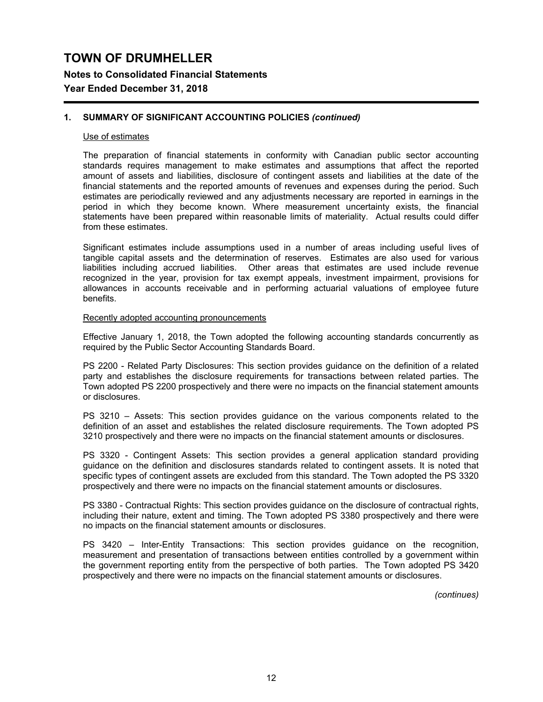**Notes to Consolidated Financial Statements**

## **Year Ended December 31, 2018**

### **1. SUMMARY OF SIGNIFICANT ACCOUNTING POLICIES** *(continued)*

#### Use of estimates

The preparation of financial statements in conformity with Canadian public sector accounting standards requires management to make estimates and assumptions that affect the reported amount of assets and liabilities, disclosure of contingent assets and liabilities at the date of the financial statements and the reported amounts of revenues and expenses during the period. Such estimates are periodically reviewed and any adjustments necessary are reported in earnings in the period in which they become known. Where measurement uncertainty exists, the financial statements have been prepared within reasonable limits of materiality. Actual results could differ from these estimates.

Significant estimates include assumptions used in a number of areas including useful lives of tangible capital assets and the determination of reserves. Estimates are also used for various liabilities including accrued liabilities. Other areas that estimates are used include revenue recognized in the year, provision for tax exempt appeals, investment impairment, provisions for allowances in accounts receivable and in performing actuarial valuations of employee future benefits.

#### Recently adopted accounting pronouncements

Effective January 1, 2018, the Town adopted the following accounting standards concurrently as required by the Public Sector Accounting Standards Board.

PS 2200 - Related Party Disclosures: This section provides guidance on the definition of a related party and establishes the disclosure requirements for transactions between related parties. The Town adopted PS 2200 prospectively and there were no impacts on the financial statement amounts or disclosures.

PS 3210 – Assets: This section provides guidance on the various components related to the definition of an asset and establishes the related disclosure requirements. The Town adopted PS 3210 prospectively and there were no impacts on the financial statement amounts or disclosures.

PS 3320 - Contingent Assets: This section provides a general application standard providing guidance on the definition and disclosures standards related to contingent assets. It is noted that specific types of contingent assets are excluded from this standard. The Town adopted the PS 3320 prospectively and there were no impacts on the financial statement amounts or disclosures.

PS 3380 - Contractual Rights: This section provides guidance on the disclosure of contractual rights, including their nature, extent and timing. The Town adopted PS 3380 prospectively and there were no impacts on the financial statement amounts or disclosures.

PS 3420 – Inter-Entity Transactions: This section provides guidance on the recognition, measurement and presentation of transactions between entities controlled by a government within the government reporting entity from the perspective of both parties. The Town adopted PS 3420 prospectively and there were no impacts on the financial statement amounts or disclosures.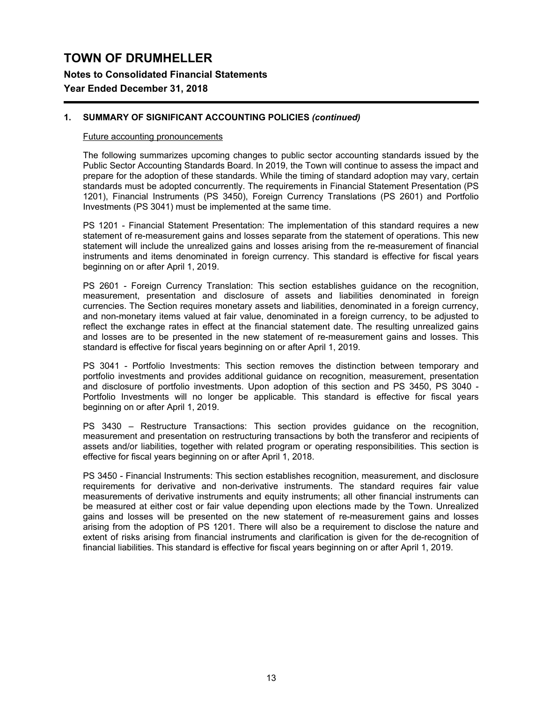**Notes to Consolidated Financial Statements**

## **Year Ended December 31, 2018**

## **1. SUMMARY OF SIGNIFICANT ACCOUNTING POLICIES** *(continued)*

### Future accounting pronouncements

The following summarizes upcoming changes to public sector accounting standards issued by the Public Sector Accounting Standards Board. In 2019, the Town will continue to assess the impact and prepare for the adoption of these standards. While the timing of standard adoption may vary, certain standards must be adopted concurrently. The requirements in Financial Statement Presentation (PS 1201), Financial Instruments (PS 3450), Foreign Currency Translations (PS 2601) and Portfolio Investments (PS 3041) must be implemented at the same time.

PS 1201 - Financial Statement Presentation: The implementation of this standard requires a new statement of re-measurement gains and losses separate from the statement of operations. This new statement will include the unrealized gains and losses arising from the re-measurement of financial instruments and items denominated in foreign currency. This standard is effective for fiscal years beginning on or after April 1, 2019.

PS 2601 - Foreign Currency Translation: This section establishes guidance on the recognition, measurement, presentation and disclosure of assets and liabilities denominated in foreign currencies. The Section requires monetary assets and liabilities, denominated in a foreign currency, and non-monetary items valued at fair value, denominated in a foreign currency, to be adjusted to reflect the exchange rates in effect at the financial statement date. The resulting unrealized gains and losses are to be presented in the new statement of re-measurement gains and losses. This standard is effective for fiscal years beginning on or after April 1, 2019.

PS 3041 - Portfolio Investments: This section removes the distinction between temporary and portfolio investments and provides additional guidance on recognition, measurement, presentation and disclosure of portfolio investments. Upon adoption of this section and PS 3450, PS 3040 - Portfolio Investments will no longer be applicable. This standard is effective for fiscal years beginning on or after April 1, 2019.

PS 3430 – Restructure Transactions: This section provides guidance on the recognition, measurement and presentation on restructuring transactions by both the transferor and recipients of assets and/or liabilities, together with related program or operating responsibilities. This section is effective for fiscal years beginning on or after April 1, 2018.

PS 3450 - Financial Instruments: This section establishes recognition, measurement, and disclosure requirements for derivative and non-derivative instruments. The standard requires fair value measurements of derivative instruments and equity instruments; all other financial instruments can be measured at either cost or fair value depending upon elections made by the Town. Unrealized gains and losses will be presented on the new statement of re-measurement gains and losses arising from the adoption of PS 1201. There will also be a requirement to disclose the nature and extent of risks arising from financial instruments and clarification is given for the de-recognition of financial liabilities. This standard is effective for fiscal years beginning on or after April 1, 2019.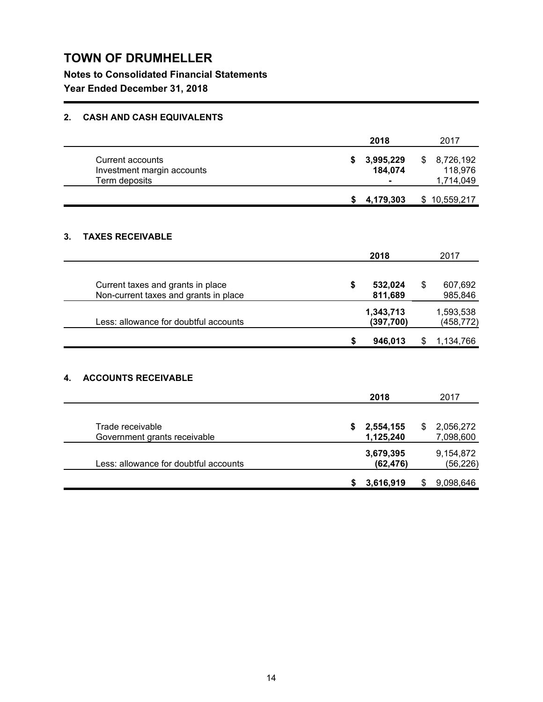**Notes to Consolidated Financial Statements**

**Year Ended December 31, 2018**

## **2. CASH AND CASH EQUIVALENTS**

|    |                                                                            | 2018                         | 2017                                    |
|----|----------------------------------------------------------------------------|------------------------------|-----------------------------------------|
|    | <b>Current accounts</b><br>Investment margin accounts<br>Term deposits     | \$<br>3,995,229<br>184,074   | \$<br>8,726,192<br>118,976<br>1,714,049 |
|    |                                                                            | \$<br>4,179,303              | \$10,559,217                            |
| 3. | <b>TAXES RECEIVABLE</b>                                                    |                              |                                         |
|    |                                                                            | 2018                         | 2017                                    |
|    | Current taxes and grants in place<br>Non-current taxes and grants in place | \$<br>532,024<br>811,689     | \$<br>607,692<br>985,846                |
|    | Less: allowance for doubtful accounts                                      | 1,343,713<br>(397, 700)      | 1,593,538<br>(458, 772)                 |
|    |                                                                            | \$<br>946,013                | \$<br>1,134,766                         |
| 4. | <b>ACCOUNTS RECEIVABLE</b>                                                 | 2018                         | 2017                                    |
|    | Trade receivable<br>Government grants receivable                           | \$<br>2,554,155<br>1,125,240 | \$<br>2,056,272<br>7,098,600            |
|    | Less: allowance for doubtful accounts                                      | 3,679,395<br>(62, 476)       | 9,154,872<br>(56, 226)                  |

**\$ 3,616,919** \$ 9,098,646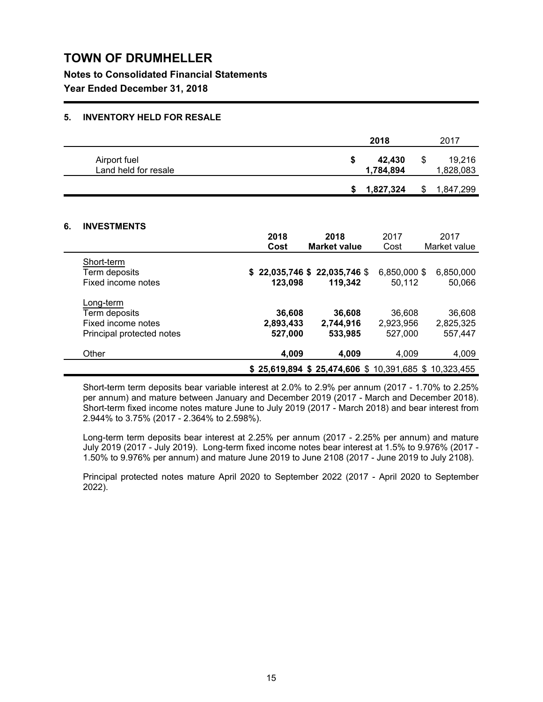**Notes to Consolidated Financial Statements**

**Year Ended December 31, 2018**

### **5. INVENTORY HELD FOR RESALE**

|                                      |   | 2018                |   | 2017                |
|--------------------------------------|---|---------------------|---|---------------------|
| Airport fuel<br>Land held for resale | S | 42.430<br>1,784,894 | S | 19.216<br>1,828,083 |
|                                      |   | 1,827,324           | S | 1,847,299           |

## **6. INVESTMENTS**

|                            | 2018      | 2018                                                    | 2017         | 2017         |
|----------------------------|-----------|---------------------------------------------------------|--------------|--------------|
|                            | Cost      | <b>Market value</b>                                     | Cost         | Market value |
| Short-term                 |           |                                                         |              |              |
| Term deposits              |           | \$22,035,746 \$22,035,746 \$                            | 6,850,000 \$ | 6,850,000    |
| Fixed income notes         | 123.098   | 119.342                                                 | 50.112       | 50,066       |
|                            |           |                                                         |              |              |
| Long-term<br>Term deposits | 36,608    | 36,608                                                  | 36,608       | 36,608       |
| Fixed income notes         |           |                                                         |              | 2,825,325    |
|                            | 2,893,433 | 2,744,916                                               | 2,923,956    |              |
| Principal protected notes  | 527,000   | 533,985                                                 | 527,000      | 557,447      |
| Other                      | 4,009     | 4.009                                                   | 4,009        | 4,009        |
|                            |           | $$25,619,894$ $$25,474,606$ $$10,391,685$ $$10,323,455$ |              |              |

Short-term term deposits bear variable interest at 2.0% to 2.9% per annum (2017 - 1.70% to 2.25% per annum) and mature between January and December 2019 (2017 - March and December 2018). Short-term fixed income notes mature June to July 2019 (2017 - March 2018) and bear interest from 2.944% to 3.75% (2017 - 2.364% to 2.598%).

Long-term term deposits bear interest at 2.25% per annum (2017 - 2.25% per annum) and mature July 2019 (2017 - July 2019). Long-term fixed income notes bear interest at 1.5% to 9.976% (2017 - 1.50% to 9.976% per annum) and mature June 2019 to June 2108 (2017 - June 2019 to July 2108).

Principal protected notes mature April 2020 to September 2022 (2017 - April 2020 to September 2022).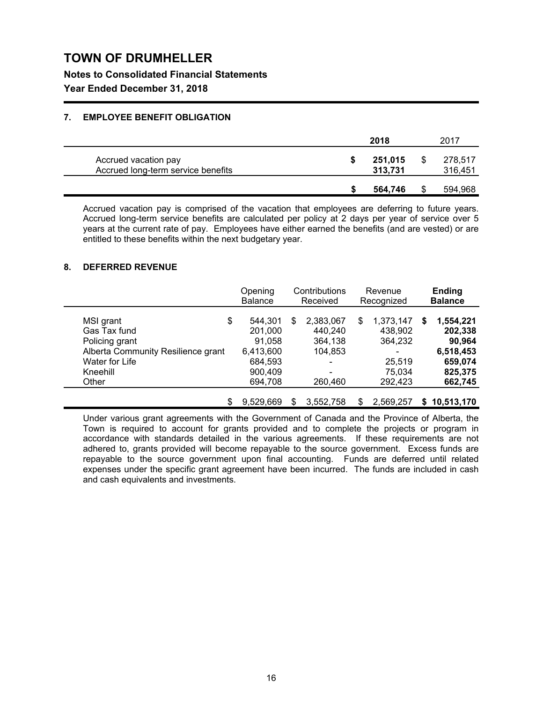**Notes to Consolidated Financial Statements**

**Year Ended December 31, 2018**

## **7. EMPLOYEE BENEFIT OBLIGATION**

|                                                            | 2018 |                    |  | 2017               |  |  |
|------------------------------------------------------------|------|--------------------|--|--------------------|--|--|
| Accrued vacation pay<br>Accrued long-term service benefits |      | 251,015<br>313,731 |  | 278,517<br>316,451 |  |  |
|                                                            |      | 564.746            |  | 594,968            |  |  |

Accrued vacation pay is comprised of the vacation that employees are deferring to future years. Accrued long-term service benefits are calculated per policy at 2 days per year of service over 5 years at the current rate of pay. Employees have either earned the benefits (and are vested) or are entitled to these benefits within the next budgetary year.

### **8. DEFERRED REVENUE**

|                                    | Opening<br><b>Balance</b> |   | Contributions<br>Received |   | Revenue<br>Recognized |   | <b>Ending</b><br><b>Balance</b> |
|------------------------------------|---------------------------|---|---------------------------|---|-----------------------|---|---------------------------------|
| \$<br>MSI grant                    | 544,301                   | S | 2,383,067                 | S | 1,373,147             | S | 1,554,221                       |
| Gas Tax fund                       | 201,000                   |   | 440,240                   |   | 438,902               |   | 202,338                         |
| Policing grant                     | 91,058                    |   | 364,138                   |   | 364,232               |   | 90,964                          |
| Alberta Community Resilience grant | 6,413,600                 |   | 104,853                   |   |                       |   | 6,518,453                       |
| Water for Life                     | 684,593                   |   |                           |   | 25,519                |   | 659,074                         |
| Kneehill                           | 900,409                   |   | ۰                         |   | 75,034                |   | 825,375                         |
| Other                              | 694,708                   |   | 260,460                   |   | 292,423               |   | 662,745                         |
| \$                                 | 9.529.669                 | S | 3,552,758                 | S | 2.569.257             |   | \$10,513,170                    |

Under various grant agreements with the Government of Canada and the Province of Alberta, the Town is required to account for grants provided and to complete the projects or program in accordance with standards detailed in the various agreements. If these requirements are not adhered to, grants provided will become repayable to the source government. Excess funds are repayable to the source government upon final accounting. Funds are deferred until related expenses under the specific grant agreement have been incurred. The funds are included in cash and cash equivalents and investments.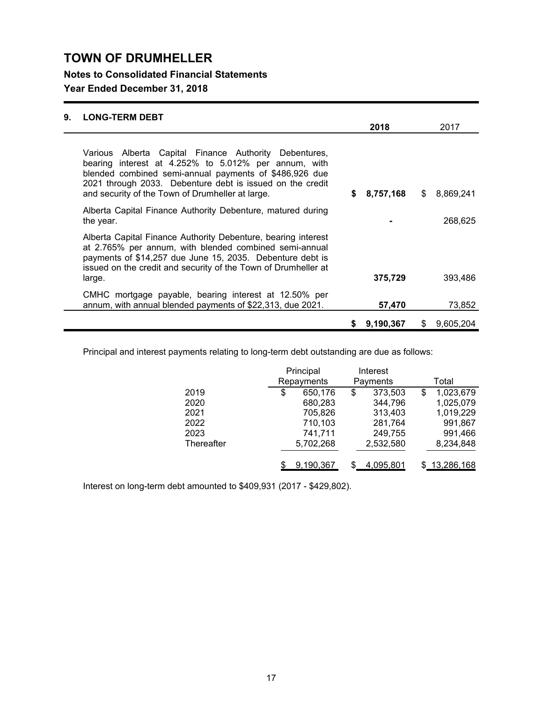**Notes to Consolidated Financial Statements**

## **Year Ended December 31, 2018**

| 9. | <b>LONG-TERM DEBT</b>                                                                                                                                                                                                                                                                    |    |           |              |
|----|------------------------------------------------------------------------------------------------------------------------------------------------------------------------------------------------------------------------------------------------------------------------------------------|----|-----------|--------------|
|    |                                                                                                                                                                                                                                                                                          |    | 2018      | 2017         |
|    | Various Alberta Capital Finance Authority Debentures,<br>bearing interest at 4.252% to 5.012% per annum, with<br>blended combined semi-annual payments of \$486,926 due<br>2021 through 2033. Debenture debt is issued on the credit<br>and security of the Town of Drumheller at large. | S. | 8,757,168 | \$ 8.869.241 |
|    | Alberta Capital Finance Authority Debenture, matured during<br>the year.                                                                                                                                                                                                                 |    |           | 268,625      |
|    | Alberta Capital Finance Authority Debenture, bearing interest                                                                                                                                                                                                                            |    |           |              |

Alberta Capital Finance Authority Debenture, bearing interest at 2.765% per annum, with blended combined semi-annual payments of \$14,257 due June 15, 2035. Debenture debt is issued on the credit and security of the Town of Drumheller at large. **375,729** 393,486 CMHC mortgage payable, bearing interest at 12.50% per annum, with annual blended payments of \$22,313, due 2021. **57,470** 73,852

Principal and interest payments relating to long-term debt outstanding are due as follows:

|            | Principal     | Interest      |                 |
|------------|---------------|---------------|-----------------|
|            | Repayments    | Payments      | Total           |
| 2019       | \$<br>650,176 | \$<br>373,503 | \$<br>1,023,679 |
| 2020       | 680,283       | 344,796       | 1,025,079       |
| 2021       | 705,826       | 313,403       | 1,019,229       |
| 2022       | 710,103       | 281,764       | 991,867         |
| 2023       | 741,711       | 249,755       | 991,466         |
| Thereafter | 5,702,268     | 2,532,580     | 8,234,848       |
|            | 9,190,367     | 4,095,801     | 13,286,168      |

**\$ 9,190,367** \$ 9,605,204

Interest on long-term debt amounted to \$409,931 (2017 - \$429,802).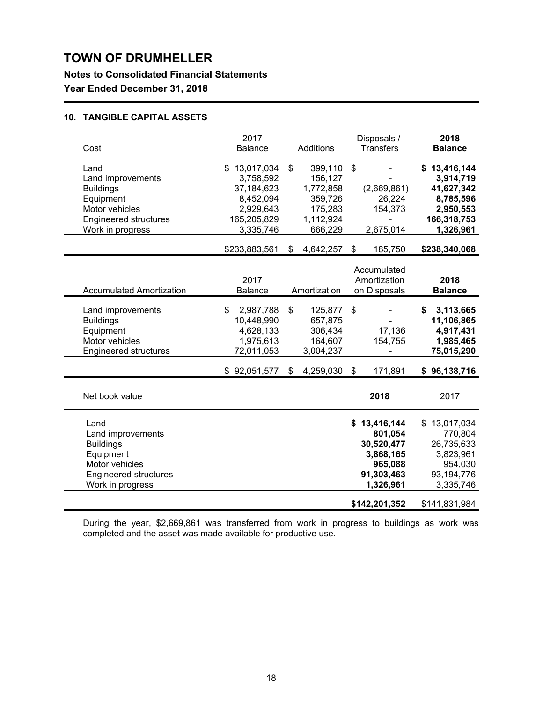**Notes to Consolidated Financial Statements**

**Year Ended December 31, 2018**

## **10. TANGIBLE CAPITAL ASSETS**

| Balance                                                                                       | Additions                                                                           |                           | Disposals /<br><b>Transfers</b>                                          |                                                                              | 2018<br><b>Balance</b>                                                                                    |
|-----------------------------------------------------------------------------------------------|-------------------------------------------------------------------------------------|---------------------------|--------------------------------------------------------------------------|------------------------------------------------------------------------------|-----------------------------------------------------------------------------------------------------------|
| \$13,017,034<br>3,758,592<br>37,184,623<br>8,452,094<br>2,929,643<br>165,205,829<br>3,335,746 | \$<br>399,110<br>156,127<br>1,772,858<br>359,726<br>175,283<br>1,112,924<br>666,229 | $\boldsymbol{\mathsf{s}}$ | (2,669,861)<br>26,224<br>154,373<br>2,675,014                            |                                                                              | \$13,416,144<br>3,914,719<br>41,627,342<br>8,785,596<br>2,950,553<br>166,318,753<br>1,326,961             |
| \$233,883,561                                                                                 | \$<br>4,642,257                                                                     | \$                        | 185,750                                                                  |                                                                              | \$238,340,068                                                                                             |
| 2017<br><b>Balance</b>                                                                        |                                                                                     |                           |                                                                          |                                                                              | 2018<br><b>Balance</b>                                                                                    |
| 2,987,788<br>\$<br>10,448,990<br>4,628,133<br>1,975,613<br>72,011,053                         | \$<br>125,877<br>657,875<br>306,434<br>164,607<br>3,004,237                         | \$                        | 17,136<br>154,755                                                        | \$                                                                           | 3,113,665<br>11,106,865<br>4,917,431<br>1,985,465<br>75,015,290                                           |
| \$92,051,577                                                                                  | \$<br>4,259,030                                                                     | \$                        | 171,891                                                                  |                                                                              | \$96,138,716                                                                                              |
|                                                                                               |                                                                                     |                           | 2018                                                                     |                                                                              | 2017                                                                                                      |
|                                                                                               |                                                                                     |                           | 801,054<br>30,520,477<br>3,868,165<br>965,088<br>91,303,463<br>1,326,961 |                                                                              | \$13,017,034<br>770,804<br>26,735,633<br>3,823,961<br>954,030<br>93,194,776<br>3,335,746<br>\$141,831,984 |
|                                                                                               |                                                                                     | Amortization              |                                                                          | Accumulated<br>Amortization<br>on Disposals<br>\$13,416,144<br>\$142,201,352 |                                                                                                           |

During the year, \$2,669,861 was transferred from work in progress to buildings as work was completed and the asset was made available for productive use.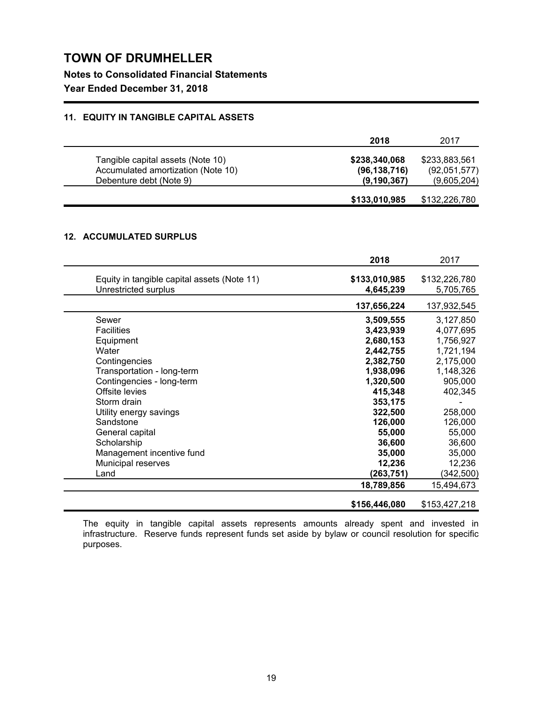**Notes to Consolidated Financial Statements**

## **Year Ended December 31, 2018**

## **11. EQUITY IN TANGIBLE CAPITAL ASSETS**

|                                                                                                    | 2018                                             | 2017                                         |
|----------------------------------------------------------------------------------------------------|--------------------------------------------------|----------------------------------------------|
| Tangible capital assets (Note 10)<br>Accumulated amortization (Note 10)<br>Debenture debt (Note 9) | \$238,340,068<br>(96, 138, 716)<br>(9, 190, 367) | \$233,883,561<br>(92,051,577)<br>(9,605,204) |
|                                                                                                    | \$133,010,985                                    | \$132,226,780                                |

## **12. ACCUMULATED SURPLUS**

|                                                                     | 2018                       | 2017                       |
|---------------------------------------------------------------------|----------------------------|----------------------------|
| Equity in tangible capital assets (Note 11)<br>Unrestricted surplus | \$133,010,985<br>4,645,239 | \$132,226,780<br>5,705,765 |
|                                                                     | 137,656,224                | 137,932,545                |
| Sewer                                                               | 3,509,555                  | 3,127,850                  |
| <b>Facilities</b>                                                   | 3,423,939                  | 4,077,695                  |
| Equipment                                                           | 2,680,153                  | 1,756,927                  |
| Water                                                               | 2,442,755                  | 1,721,194                  |
| Contingencies                                                       | 2,382,750                  | 2,175,000                  |
| Transportation - long-term                                          | 1,938,096                  | 1,148,326                  |
| Contingencies - long-term                                           | 1,320,500                  | 905,000                    |
| Offsite levies                                                      | 415,348                    | 402,345                    |
| Storm drain                                                         | 353,175                    |                            |
| Utility energy savings                                              | 322,500                    | 258,000                    |
| Sandstone                                                           | 126,000                    | 126,000                    |
| General capital                                                     | 55,000                     | 55,000                     |
| Scholarship                                                         | 36,600                     | 36,600                     |
| Management incentive fund                                           | 35,000                     | 35,000                     |
| Municipal reserves                                                  | 12,236                     | 12,236                     |
| Land                                                                | (263,751)                  | (342, 500)                 |
|                                                                     | 18,789,856                 | 15,494,673                 |
|                                                                     | \$156,446,080              | \$153,427,218              |

The equity in tangible capital assets represents amounts already spent and invested in infrastructure. Reserve funds represent funds set aside by bylaw or council resolution for specific purposes.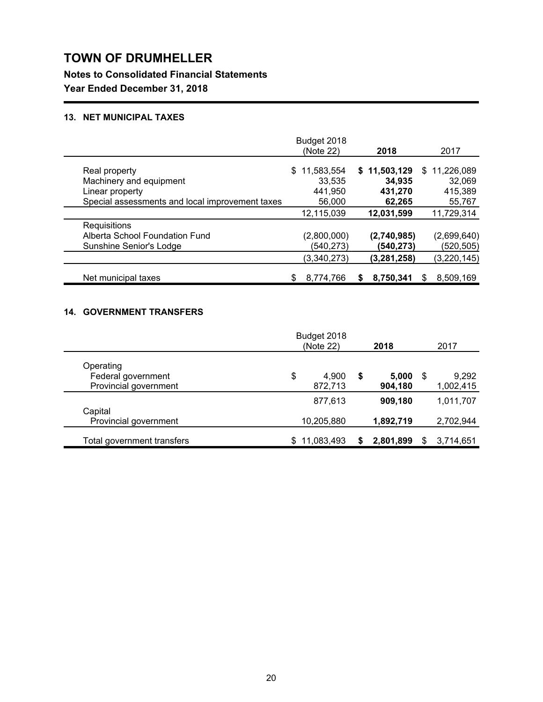**Notes to Consolidated Financial Statements**

**Year Ended December 31, 2018**

## **13. NET MUNICIPAL TAXES**

|                                                 | Budget 2018<br>(Note 22) | 2018          | 2017           |
|-------------------------------------------------|--------------------------|---------------|----------------|
|                                                 |                          |               |                |
| Real property                                   | 11,583,554<br>S.         | \$11,503,129  | \$11,226,089   |
| Machinery and equipment                         | 33,535                   | 34,935        | 32,069         |
| Linear property                                 | 441,950                  | 431,270       | 415,389        |
| Special assessments and local improvement taxes | 56,000                   | 62,265        | 55,767         |
|                                                 | 12,115,039               | 12,031,599    | 11,729,314     |
| Requisitions                                    |                          |               |                |
| Alberta School Foundation Fund                  | (2,800,000)              | (2,740,985)   | (2,699,640)    |
| Sunshine Senior's Lodge                         | (540, 273)               | (540,273)     | (520, 505)     |
|                                                 | (3,340,273)              | (3, 281, 258) | (3, 220, 145)  |
| Net municipal taxes                             | 8,774,766                | 8,750,341     | 8,509,169<br>S |

## **14. GOVERNMENT TRANSFERS**

|                                             |     | Budget 2018<br>(Note 22) | 2018                   | 2017                     |
|---------------------------------------------|-----|--------------------------|------------------------|--------------------------|
| Operating                                   |     |                          |                        |                          |
| Federal government<br>Provincial government | \$  | 4,900<br>872,713         | \$<br>5,000<br>904,180 | \$<br>9,292<br>1,002,415 |
|                                             |     | 877,613                  | 909,180                | 1,011,707                |
| Capital<br>Provincial government            |     | 10,205,880               | 1,892,719              | 2,702,944                |
| Total government transfers                  | \$. | 11,083,493               | 2,801,899              | 3,714,651                |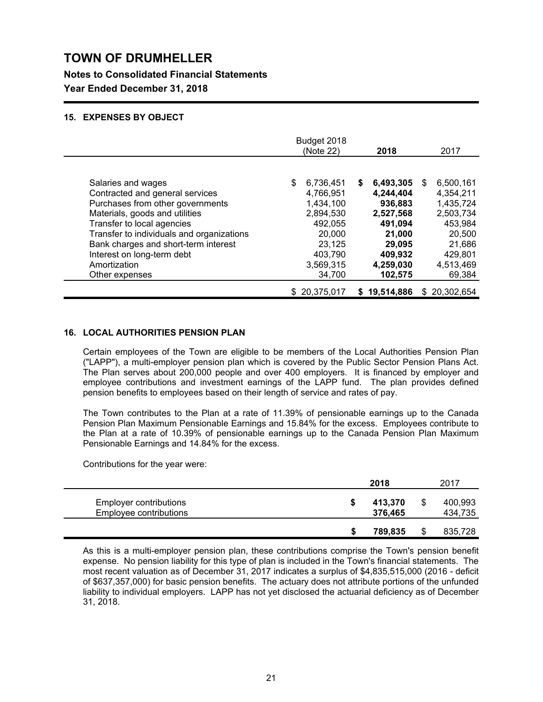**Notes to Consolidated Financial Statements**

**Year Ended December 31, 2018**

### **15. EXPENSES BY OBJECT**

|                                           | Budget 2018<br>(Note 22) | 2018           | 2017             |
|-------------------------------------------|--------------------------|----------------|------------------|
|                                           |                          |                |                  |
| Salaries and wages                        | 6,736,451                | 6,493,305<br>S | 6,500,161<br>\$. |
| Contracted and general services           | 4,766,951                | 4,244,404      | 4,354,211        |
| Purchases from other governments          | 1,434,100                | 936,883        | 1,435,724        |
| Materials, goods and utilities            | 2,894,530                | 2,527,568      | 2,503,734        |
| Transfer to local agencies                | 492,055                  | 491,094        | 453,984          |
| Transfer to individuals and organizations | 20,000                   | 21,000         | 20,500           |
| Bank charges and short-term interest      | 23,125                   | 29,095         | 21,686           |
| Interest on long-term debt                | 403,790                  | 409,932        | 429.801          |
| Amortization                              | 3,569,315                | 4,259,030      | 4,513,469        |
| Other expenses                            | 34,700                   | 102,575        | 69,384           |
|                                           | \$20,375,017             | \$19,514,886   | \$ 20,302,654    |

### **16. LOCAL AUTHORITIES PENSION PLAN**

Certain employees of the Town are eligible to be members of the Local Authorities Pension Plan ("LAPP"), a multi-employer pension plan which is covered by the Public Sector Pension Plans Act. The Plan serves about 200,000 people and over 400 employers. It is financed by employer and employee contributions and investment earnings of the LAPP fund. The plan provides defined pension benefits to employees based on their length of service and rates of pay.

The Town contributes to the Plan at a rate of 11.39% of pensionable earnings up to the Canada Pension Plan Maximum Pensionable Earnings and 15.84% for the excess. Employees contribute to the Plan at a rate of 10.39% of pensionable earnings up to the Canada Pension Plan Maximum Pensionable Earnings and 14.84% for the excess.

Contributions for the year were:

|                                                         | 2018               | 2017               |
|---------------------------------------------------------|--------------------|--------------------|
| <b>Employer contributions</b><br>Employee contributions | 413,370<br>376,465 | 400,993<br>434,735 |
|                                                         | 789,835            | 835,728            |

As this is a multi-employer pension plan, these contributions comprise the Town's pension benefit expense. No pension liability for this type of plan is included in the Town's financial statements. The most recent valuation as of December 31, 2017 indicates a surplus of \$4,835,515,000 (2016 - deficit of \$637,357,000) for basic pension benefits. The actuary does not attribute portions of the unfunded liability to individual employers. LAPP has not yet disclosed the actuarial deficiency as of December 31, 2018.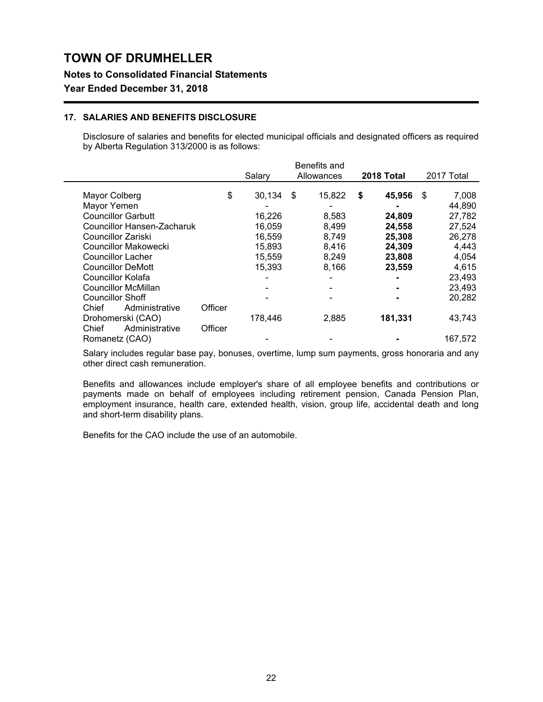### **Notes to Consolidated Financial Statements**

## **Year Ended December 31, 2018**

### **17. SALARIES AND BENEFITS DISCLOSURE**

Disclosure of salaries and benefits for elected municipal officials and designated officers as required by Alberta Regulation 313/2000 is as follows:

|         | Salary  |        |       |                                      |         |                      | 2017 Total |
|---------|---------|--------|-------|--------------------------------------|---------|----------------------|------------|
|         |         |        |       |                                      |         |                      |            |
|         |         |        |       | S                                    |         | S                    | 7,008      |
|         |         |        |       |                                      |         |                      | 44,890     |
|         | 16,226  |        | 8,583 |                                      | 24,809  |                      | 27,782     |
|         | 16,059  |        | 8,499 |                                      | 24,558  |                      | 27,524     |
|         | 16,559  |        | 8,749 |                                      | 25,308  |                      | 26,278     |
|         | 15,893  |        | 8,416 |                                      | 24,309  |                      | 4,443      |
|         | 15,559  |        | 8,249 |                                      | 23,808  |                      | 4,054      |
|         | 15,393  |        | 8,166 |                                      | 23,559  |                      | 4,615      |
|         |         |        |       |                                      |         |                      | 23,493     |
|         |         |        |       |                                      |         |                      | 23,493     |
|         |         |        |       |                                      |         |                      | 20,282     |
| Officer |         |        |       |                                      |         |                      |            |
|         | 178,446 |        | 2,885 |                                      | 181,331 |                      | 43,743     |
| Officer |         |        |       |                                      |         |                      |            |
|         |         |        |       |                                      |         |                      | 167.572    |
|         | \$      | 30,134 | \$    | Benefits and<br>Allowances<br>15,822 |         | 2018 Total<br>45,956 |            |

Salary includes regular base pay, bonuses, overtime, lump sum payments, gross honoraria and any other direct cash remuneration.

Benefits and allowances include employer's share of all employee benefits and contributions or payments made on behalf of employees including retirement pension, Canada Pension Plan, employment insurance, health care, extended health, vision, group life, accidental death and long and short-term disability plans.

Benefits for the CAO include the use of an automobile.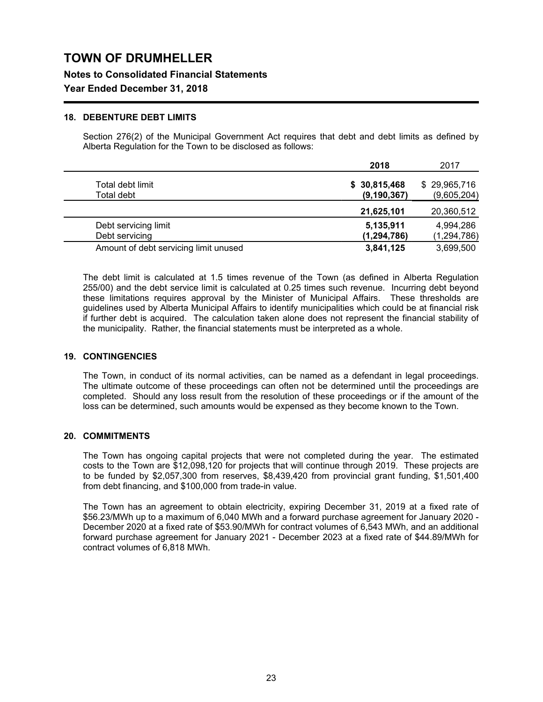**Notes to Consolidated Financial Statements**

## **Year Ended December 31, 2018**

### **18. DEBENTURE DEBT LIMITS**

Section 276(2) of the Municipal Government Act requires that debt and debt limits as defined by Alberta Regulation for the Town to be disclosed as follows:

|                                       | 2018          | 2017          |
|---------------------------------------|---------------|---------------|
| Total debt limit                      | \$30,815,468  | \$29,965,716  |
| Total debt                            | (9, 190, 367) | (9,605,204)   |
|                                       | 21,625,101    | 20,360,512    |
| Debt servicing limit                  | 5,135,911     | 4,994,286     |
| Debt servicing                        | (1, 294, 786) | (1, 294, 786) |
| Amount of debt servicing limit unused | 3,841,125     | 3,699,500     |

The debt limit is calculated at 1.5 times revenue of the Town (as defined in Alberta Regulation 255/00) and the debt service limit is calculated at 0.25 times such revenue. Incurring debt beyond these limitations requires approval by the Minister of Municipal Affairs. These thresholds are guidelines used by Alberta Municipal Affairs to identify municipalities which could be at financial risk if further debt is acquired. The calculation taken alone does not represent the financial stability of the municipality. Rather, the financial statements must be interpreted as a whole.

### **19. CONTINGENCIES**

The Town, in conduct of its normal activities, can be named as a defendant in legal proceedings. The ultimate outcome of these proceedings can often not be determined until the proceedings are completed. Should any loss result from the resolution of these proceedings or if the amount of the loss can be determined, such amounts would be expensed as they become known to the Town.

### **20. COMMITMENTS**

The Town has ongoing capital projects that were not completed during the year. The estimated costs to the Town are \$12,098,120 for projects that will continue through 2019. These projects are to be funded by \$2,057,300 from reserves, \$8,439,420 from provincial grant funding, \$1,501,400 from debt financing, and \$100,000 from trade-in value.

The Town has an agreement to obtain electricity, expiring December 31, 2019 at a fixed rate of \$56.23/MWh up to a maximum of 6,040 MWh and a forward purchase agreement for January 2020 - December 2020 at a fixed rate of \$53.90/MWh for contract volumes of 6,543 MWh, and an additional forward purchase agreement for January 2021 - December 2023 at a fixed rate of \$44.89/MWh for contract volumes of 6,818 MWh.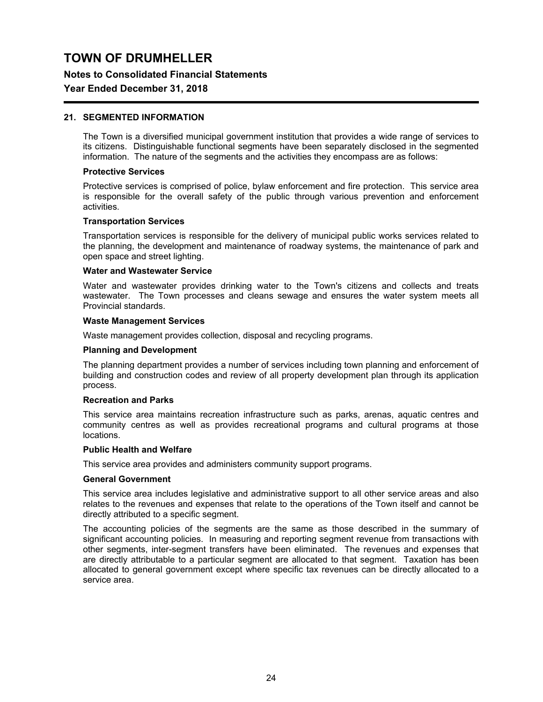### **Notes to Consolidated Financial Statements**

### **Year Ended December 31, 2018**

### **21. SEGMENTED INFORMATION**

The Town is a diversified municipal government institution that provides a wide range of services to its citizens. Distinguishable functional segments have been separately disclosed in the segmented information. The nature of the segments and the activities they encompass are as follows:

#### **Protective Services**

Protective services is comprised of police, bylaw enforcement and fire protection. This service area is responsible for the overall safety of the public through various prevention and enforcement activities.

#### **Transportation Services**

Transportation services is responsible for the delivery of municipal public works services related to the planning, the development and maintenance of roadway systems, the maintenance of park and open space and street lighting.

#### **Water and Wastewater Service**

Water and wastewater provides drinking water to the Town's citizens and collects and treats wastewater. The Town processes and cleans sewage and ensures the water system meets all Provincial standards.

#### **Waste Management Services**

Waste management provides collection, disposal and recycling programs.

#### **Planning and Development**

The planning department provides a number of services including town planning and enforcement of building and construction codes and review of all property development plan through its application process.

### **Recreation and Parks**

This service area maintains recreation infrastructure such as parks, arenas, aquatic centres and community centres as well as provides recreational programs and cultural programs at those locations.

### **Public Health and Welfare**

This service area provides and administers community support programs.

#### **General Government**

This service area includes legislative and administrative support to all other service areas and also relates to the revenues and expenses that relate to the operations of the Town itself and cannot be directly attributed to a specific segment.

The accounting policies of the segments are the same as those described in the summary of significant accounting policies. In measuring and reporting segment revenue from transactions with other segments, inter-segment transfers have been eliminated. The revenues and expenses that are directly attributable to a particular segment are allocated to that segment. Taxation has been allocated to general government except where specific tax revenues can be directly allocated to a service area.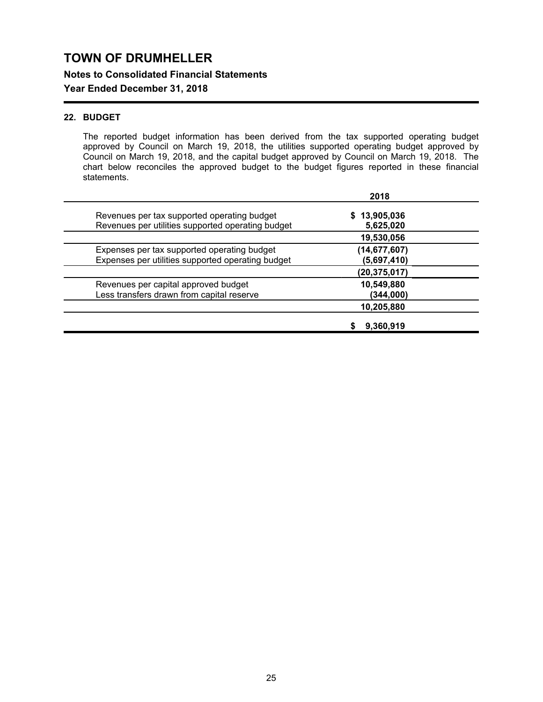**Notes to Consolidated Financial Statements**

## **Year Ended December 31, 2018**

## **22. BUDGET**

The reported budget information has been derived from the tax supported operating budget approved by Council on March 19, 2018, the utilities supported operating budget approved by Council on March 19, 2018, and the capital budget approved by Council on March 19, 2018. The chart below reconciles the approved budget to the budget figures reported in these financial statements.

|                                                                                                  | 2018                          |
|--------------------------------------------------------------------------------------------------|-------------------------------|
| Revenues per tax supported operating budget<br>Revenues per utilities supported operating budget | \$13,905,036<br>5,625,020     |
|                                                                                                  | 19,530,056                    |
| Expenses per tax supported operating budget<br>Expenses per utilities supported operating budget | (14, 677, 607)<br>(5,697,410) |
|                                                                                                  | (20, 375, 017)                |
| Revenues per capital approved budget<br>Less transfers drawn from capital reserve                | 10,549,880<br>(344,000)       |
|                                                                                                  | 10,205,880                    |
|                                                                                                  | 9,360,919                     |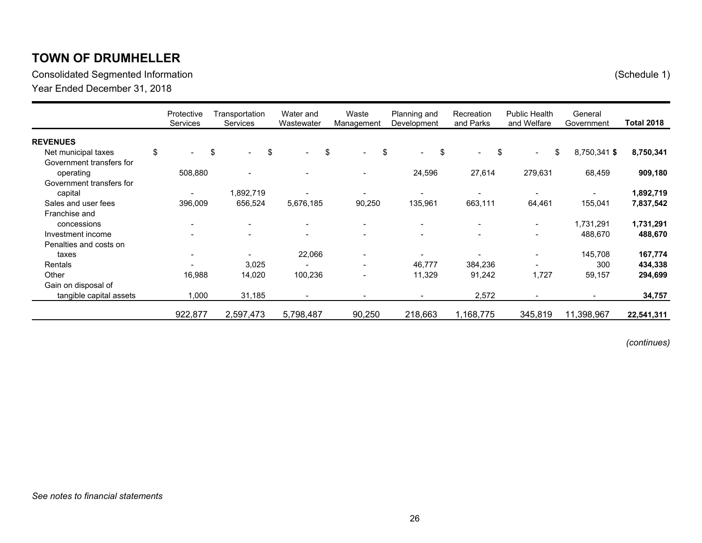Consolidated Segmented Information (Schedule 1)

Year Ended December 31, 2018

|                           | Protective<br>Services | Transportation<br>Services | Water and<br>Wastewater  | Waste<br>Management  | Planning and<br>Development | Recreation<br>and Parks  | <b>Public Health</b><br>and Welfare | General<br>Government | <b>Total 2018</b> |
|---------------------------|------------------------|----------------------------|--------------------------|----------------------|-----------------------------|--------------------------|-------------------------------------|-----------------------|-------------------|
| <b>REVENUES</b>           |                        |                            |                          |                      |                             |                          |                                     |                       |                   |
| \$<br>Net municipal taxes | \$<br>$\sim$           | \$<br>$\blacksquare$       | \$<br>$\sim$             | \$<br>$\blacksquare$ | \$<br>$\sim$                | \$<br>$\blacksquare$     | \$<br>$\blacksquare$                | 8,750,341 \$          | 8,750,341         |
| Government transfers for  |                        |                            |                          |                      |                             |                          |                                     |                       |                   |
| operating                 | 508,880                |                            |                          |                      | 24,596                      | 27,614                   | 279,631                             | 68,459                | 909,180           |
| Government transfers for  |                        |                            |                          |                      |                             |                          |                                     |                       |                   |
| capital                   |                        | 1,892,719                  |                          |                      |                             |                          |                                     |                       | 1,892,719         |
| Sales and user fees       | 396,009                | 656,524                    | 5,676,185                | 90,250               | 135,961                     | 663,111                  | 64,461                              | 155,041               | 7,837,542         |
| Franchise and             |                        |                            |                          |                      |                             |                          |                                     |                       |                   |
| concessions               |                        | $\overline{\phantom{a}}$   | $\overline{\phantom{a}}$ |                      |                             | $\overline{\phantom{a}}$ | $\blacksquare$                      | 1,731,291             | 1,731,291         |
| Investment income         |                        |                            | $\overline{\phantom{0}}$ |                      |                             | $\overline{\phantom{a}}$ | $\overline{\phantom{a}}$            | 488,670               | 488,670           |
| Penalties and costs on    |                        |                            |                          |                      |                             |                          |                                     |                       |                   |
| taxes                     |                        |                            | 22,066                   |                      |                             |                          | $\overline{\phantom{a}}$            | 145,708               | 167,774           |
| Rentals                   |                        | 3,025                      |                          |                      | 46,777                      | 384,236                  |                                     | 300                   | 434,338           |
| Other                     | 16,988                 | 14,020                     | 100,236                  |                      | 11,329                      | 91,242                   | 1,727                               | 59,157                | 294,699           |
| Gain on disposal of       |                        |                            |                          |                      |                             |                          |                                     |                       |                   |
| tangible capital assets   | 1,000                  | 31,185                     | $\blacksquare$           |                      |                             | 2,572                    |                                     |                       | 34,757            |
|                           | 922,877                | 2,597,473                  | 5,798,487                | 90,250               | 218,663                     | 1,168,775                | 345,819                             | 11,398,967            | 22,541,311        |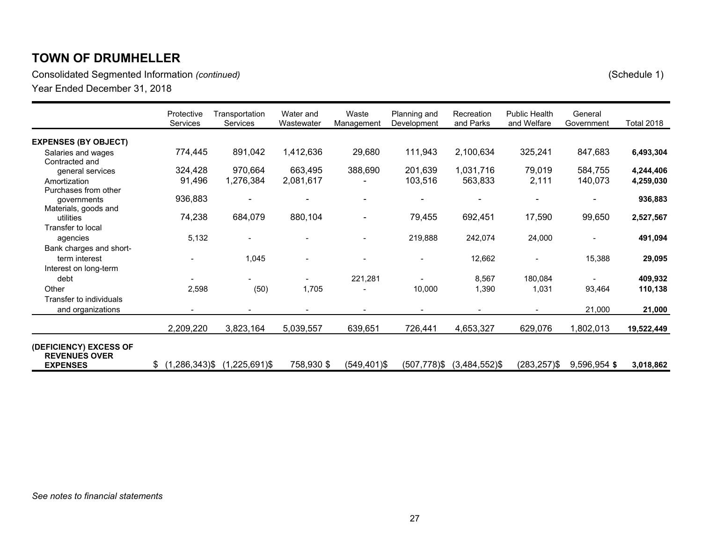Consolidated Segmented Information *(continued)* (Schedule 1)

|                                                                   | Protective<br><b>Services</b> | Transportation<br>Services | Water and<br>Wastewater  | Waste<br>Management | Planning and<br>Development | Recreation<br>and Parks  | <b>Public Health</b><br>and Welfare | General<br>Government | <b>Total 2018</b> |
|-------------------------------------------------------------------|-------------------------------|----------------------------|--------------------------|---------------------|-----------------------------|--------------------------|-------------------------------------|-----------------------|-------------------|
| <b>EXPENSES (BY OBJECT)</b>                                       |                               |                            |                          |                     |                             |                          |                                     |                       |                   |
| Salaries and wages<br>Contracted and                              | 774,445                       | 891,042                    | 1,412,636                | 29,680              | 111,943                     | 2,100,634                | 325,241                             | 847,683               | 6,493,304         |
| general services                                                  | 324,428                       | 970,664                    | 663,495                  | 388,690             | 201,639                     | 1,031,716                | 79,019                              | 584,755               | 4,244,406         |
| Amortization                                                      | 91,496                        | 1,276,384                  | 2,081,617                |                     | 103,516                     | 563,833                  | 2,111                               | 140,073               | 4,259,030         |
| Purchases from other                                              |                               |                            |                          |                     |                             |                          |                                     |                       |                   |
| governments                                                       | 936,883                       |                            | $\overline{\phantom{0}}$ |                     |                             | $\overline{\phantom{0}}$ | ۰                                   |                       | 936,883           |
| Materials, goods and                                              |                               |                            |                          |                     |                             |                          |                                     |                       |                   |
| utilities                                                         | 74,238                        | 684,079                    | 880,104                  |                     | 79,455                      | 692,451                  | 17,590                              | 99,650                | 2,527,567         |
| Transfer to local                                                 |                               |                            |                          |                     |                             |                          |                                     |                       |                   |
| agencies                                                          | 5,132                         |                            |                          |                     | 219,888                     | 242,074                  | 24,000                              |                       | 491,094           |
| Bank charges and short-                                           |                               |                            |                          |                     |                             |                          |                                     |                       |                   |
| term interest                                                     |                               | 1,045                      |                          |                     |                             | 12,662                   |                                     | 15,388                | 29,095            |
| Interest on long-term                                             |                               |                            |                          |                     |                             |                          |                                     |                       |                   |
| debt                                                              |                               |                            |                          | 221,281             |                             | 8,567                    | 180,084                             |                       | 409,932           |
| Other                                                             | 2,598                         | (50)                       | 1,705                    |                     | 10,000                      | 1,390                    | 1,031                               | 93,464                | 110,138           |
| Transfer to individuals                                           |                               |                            |                          |                     |                             |                          |                                     |                       |                   |
| and organizations                                                 |                               |                            |                          |                     |                             |                          |                                     | 21,000                | 21,000            |
|                                                                   | 2,209,220                     | 3,823,164                  | 5,039,557                | 639,651             | 726,441                     | 4,653,327                | 629,076                             | 1,802,013             | 19,522,449        |
| (DEFICIENCY) EXCESS OF<br><b>REVENUES OVER</b><br><b>EXPENSES</b> | \$(1,286,343)                 | $(1,225,691)$ \$           | 758,930 \$               | $(549, 401)$ \$     | $(507, 778)$ \$             | $(3,484,552)$ \$         | $(283, 257)$ \$                     | 9,596,954 \$          |                   |
|                                                                   |                               |                            |                          |                     |                             |                          |                                     |                       | 3,018,862         |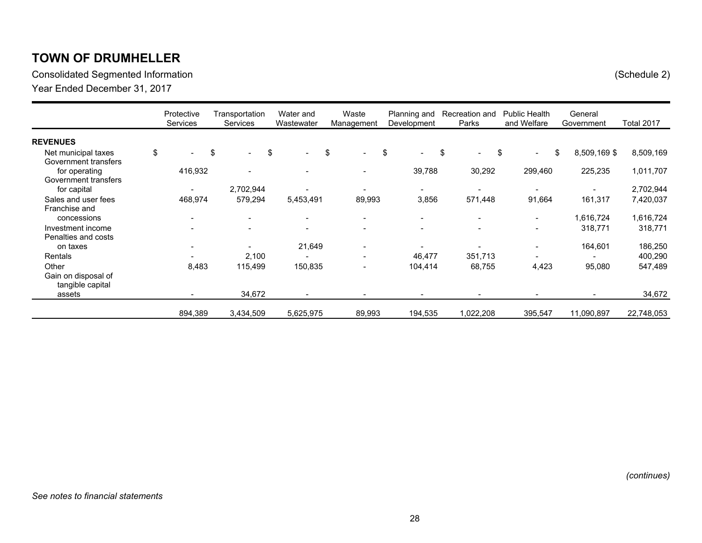Consolidated Segmented Information (Schedule 2)

Year Ended December 31, 2017

|                      | Protective<br><b>Services</b> | Transportation<br><b>Services</b> | Water and<br>Wastewater        | Waste<br>Management      | Planning and<br>Development    | Recreation and<br>Parks  | <b>Public Health</b><br>and Welfare | General<br>Government                                                                                                                                        | Total 2017 |
|----------------------|-------------------------------|-----------------------------------|--------------------------------|--------------------------|--------------------------------|--------------------------|-------------------------------------|--------------------------------------------------------------------------------------------------------------------------------------------------------------|------------|
| <b>REVENUES</b>      |                               |                                   |                                |                          |                                |                          |                                     |                                                                                                                                                              |            |
| Net municipal taxes  | \$                            | \$<br>$\overline{\phantom{a}}$    | \$<br>$\overline{\phantom{0}}$ | \$                       | \$<br>$\overline{\phantom{0}}$ | \$<br>$\blacksquare$     | \$<br>$\overline{\phantom{0}}$      | \$<br>8,509,169 \$                                                                                                                                           | 8,509,169  |
| Government transfers |                               |                                   |                                |                          |                                |                          |                                     |                                                                                                                                                              |            |
| for operating        | 416,932                       |                                   |                                |                          | 39,788                         | 30,292                   | 299,460                             | 225,235                                                                                                                                                      | 1,011,707  |
| Government transfers |                               |                                   |                                |                          |                                |                          |                                     |                                                                                                                                                              |            |
| for capital          |                               | 2,702,944                         |                                |                          |                                | $\overline{\phantom{a}}$ |                                     |                                                                                                                                                              | 2,702,944  |
| Sales and user fees  | 468,974                       | 579,294                           | 5,453,491                      | 89,993                   | 3,856                          | 571,448                  | 91,664                              | 161,317                                                                                                                                                      | 7,420,037  |
| Franchise and        |                               |                                   |                                |                          |                                |                          |                                     |                                                                                                                                                              |            |
| concessions          | $\sim$                        | $\overline{\phantom{0}}$          | $\blacksquare$                 |                          |                                | $\overline{\phantom{a}}$ | $\blacksquare$                      | 1,616,724                                                                                                                                                    | 1,616,724  |
| Investment income    |                               |                                   |                                |                          |                                | $\overline{\phantom{a}}$ |                                     | 318,771                                                                                                                                                      | 318,771    |
| Penalties and costs  |                               |                                   |                                |                          |                                |                          |                                     |                                                                                                                                                              |            |
| on taxes             |                               | $\overline{\phantom{0}}$          | 21,649                         | $\overline{\phantom{0}}$ |                                | $\overline{\phantom{0}}$ | $\overline{\phantom{a}}$            | 164,601                                                                                                                                                      | 186,250    |
| Rentals              |                               | 2,100                             |                                |                          | 46,477                         | 351,713                  |                                     |                                                                                                                                                              | 400,290    |
| Other                | 8,483                         | 115,499                           | 150,835                        | $\overline{\phantom{a}}$ | 104,414                        | 68,755                   | 4,423                               | 95,080                                                                                                                                                       | 547,489    |
| Gain on disposal of  |                               |                                   |                                |                          |                                |                          |                                     |                                                                                                                                                              |            |
| tangible capital     |                               |                                   |                                |                          |                                |                          |                                     |                                                                                                                                                              |            |
| assets               |                               | 34,672                            |                                |                          |                                |                          |                                     | $\hskip1.6pt\hskip1.6pt\hskip1.6pt\hskip1.6pt\hskip1.6pt\hskip1.6pt\hskip1.6pt\hskip1.6pt\hskip1.6pt\hskip1.6pt\hskip1.6pt\hskip1.6pt\hskip1.6pt\hskip1.6pt$ | 34,672     |
|                      | 894,389                       | 3,434,509                         | 5,625,975                      | 89,993                   | 194,535                        | 022,208                  | 395,547                             | 11,090,897                                                                                                                                                   | 22,748,053 |